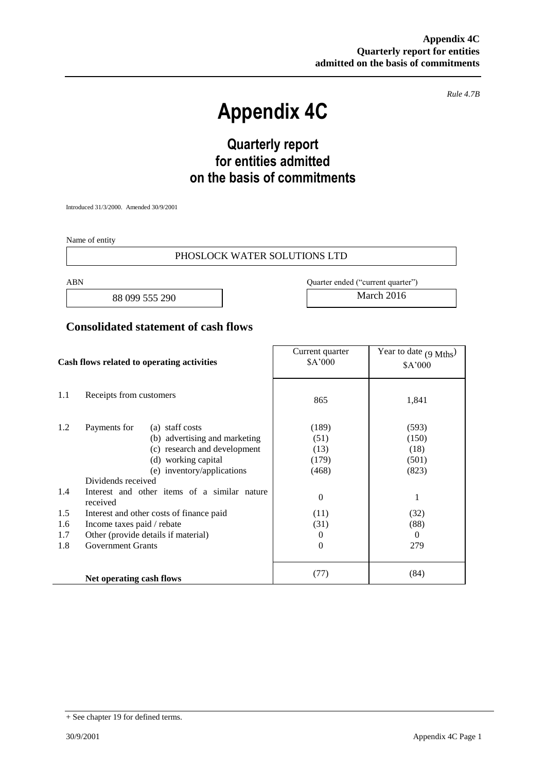*Rule 4.7B*

# **Appendix 4C**

# **Quarterly report for entities admitted on the basis of commitments**

Introduced 31/3/2000. Amended 30/9/2001

Name of entity

#### PHOSLOCK WATER SOLUTIONS LTD

88 099 555 290 March 2016

ABN Quarter ended ("current quarter")

#### **Consolidated statement of cash flows**

| Cash flows related to operating activities                                                                                                                                                                                                                                                                                                                                                  |                          | Current quarter<br>\$A'000                                                   | Year to date $(9 \text{ Mths})$<br>\$A'000                                |
|---------------------------------------------------------------------------------------------------------------------------------------------------------------------------------------------------------------------------------------------------------------------------------------------------------------------------------------------------------------------------------------------|--------------------------|------------------------------------------------------------------------------|---------------------------------------------------------------------------|
| 1.1                                                                                                                                                                                                                                                                                                                                                                                         | Receipts from customers  | 865                                                                          | 1,841                                                                     |
| 1.2<br>Payments for<br>(a) staff costs<br>(b) advertising and marketing<br>(c) research and development<br>(d) working capital<br>(e) inventory/applications<br>Dividends received<br>Interest and other items of a similar nature<br>1.4<br>received<br>1.5<br>Interest and other costs of finance paid<br>1.6<br>Income taxes paid / rebate<br>1.7<br>Other (provide details if material) |                          | (189)<br>(51)<br>(13)<br>(179)<br>(468)<br>$\mathbf{0}$<br>(11)<br>(31)<br>0 | (593)<br>(150)<br>(18)<br>(501)<br>(823)<br>1<br>(32)<br>(88)<br>$\Omega$ |
| 1.8                                                                                                                                                                                                                                                                                                                                                                                         | <b>Government Grants</b> | $\Omega$                                                                     | 279                                                                       |
|                                                                                                                                                                                                                                                                                                                                                                                             | Net operating cash flows | (77)                                                                         | (84)                                                                      |

<sup>+</sup> See chapter 19 for defined terms.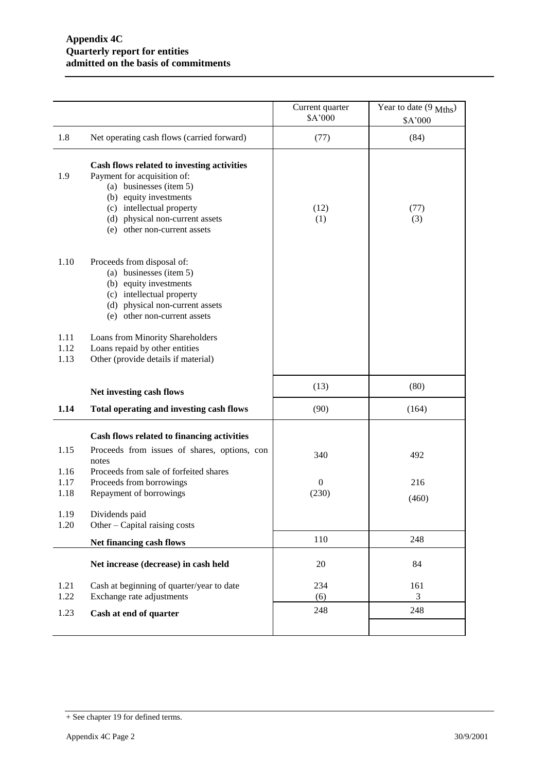|                      |                                                                                                                                                                                                                                | Current quarter<br>\$A'000 | Year to date $(9 \text{ Mths})$<br>\$A'000 |
|----------------------|--------------------------------------------------------------------------------------------------------------------------------------------------------------------------------------------------------------------------------|----------------------------|--------------------------------------------|
| 1.8                  | Net operating cash flows (carried forward)                                                                                                                                                                                     | (77)                       | (84)                                       |
| 1.9                  | Cash flows related to investing activities<br>Payment for acquisition of:<br>(a) businesses (item 5)<br>(b) equity investments<br>(c) intellectual property<br>(d) physical non-current assets<br>(e) other non-current assets | (12)<br>(1)                | (77)<br>(3)                                |
| 1.10                 | Proceeds from disposal of:<br>(a) businesses (item 5)<br>(b) equity investments<br>(c) intellectual property<br>(d) physical non-current assets<br>(e) other non-current assets                                                |                            |                                            |
| 1.11<br>1.12<br>1.13 | Loans from Minority Shareholders<br>Loans repaid by other entities<br>Other (provide details if material)                                                                                                                      |                            |                                            |
|                      | Net investing cash flows                                                                                                                                                                                                       | (13)                       | (80)                                       |
| 1.14                 | Total operating and investing cash flows                                                                                                                                                                                       | (90)                       | (164)                                      |
|                      | Cash flows related to financing activities                                                                                                                                                                                     |                            |                                            |
| 1.15                 | Proceeds from issues of shares, options, con<br>notes                                                                                                                                                                          | 340                        | 492                                        |
| 1.16<br>1.17<br>1.18 | Proceeds from sale of forfeited shares<br>Proceeds from borrowings<br>Repayment of borrowings                                                                                                                                  | $\boldsymbol{0}$<br>(230)  | 216<br>(460)                               |
| 1.19<br>1.20         | Dividends paid<br>Other – Capital raising costs                                                                                                                                                                                |                            |                                            |
|                      | Net financing cash flows                                                                                                                                                                                                       | 110                        | 248                                        |
|                      | Net increase (decrease) in cash held                                                                                                                                                                                           | 20                         | 84                                         |
| 1.21<br>1.22         | Cash at beginning of quarter/year to date<br>Exchange rate adjustments                                                                                                                                                         | 234<br>(6)                 | 161<br>3                                   |
| 1.23                 | Cash at end of quarter                                                                                                                                                                                                         | 248                        | 248                                        |
|                      |                                                                                                                                                                                                                                |                            |                                            |

<sup>+</sup> See chapter 19 for defined terms.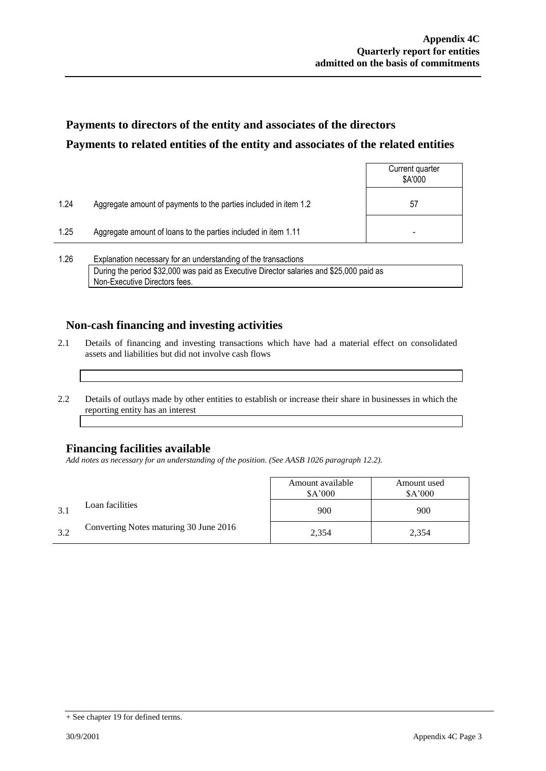## **Payments to directors of the entity and associates of the directors Payments to related entities of the entity and associates of the related entities**

|      |                                                                  | Current quarter<br>\$A'000 |
|------|------------------------------------------------------------------|----------------------------|
| 1.24 | Aggregate amount of payments to the parties included in item 1.2 | 57                         |
| 1.25 | Aggregate amount of loans to the parties included in item 1.11   | -                          |
|      |                                                                  |                            |

1.26 Explanation necessary for an understanding of the transactions During the period \$32,000 was paid as Executive Director salaries and \$25,000 paid as Non-Executive Directors fees.

### **Non-cash financing and investing activities**

- 2.1 Details of financing and investing transactions which have had a material effect on consolidated assets and liabilities but did not involve cash flows
- 2.2 Details of outlays made by other entities to establish or increase their share in businesses in which the reporting entity has an interest

### **Financing facilities available**

*Add notes as necessary for an understanding of the position. (See AASB 1026 paragraph 12.2).*

|     |                                        | Amount available<br>\$A'000 | Amount used<br>\$A'000 |
|-----|----------------------------------------|-----------------------------|------------------------|
| 3.1 | Loan facilities                        | 900                         | 900                    |
| 3.2 | Converting Notes maturing 30 June 2016 | 2,354                       | 2,354                  |

<sup>+</sup> See chapter 19 for defined terms.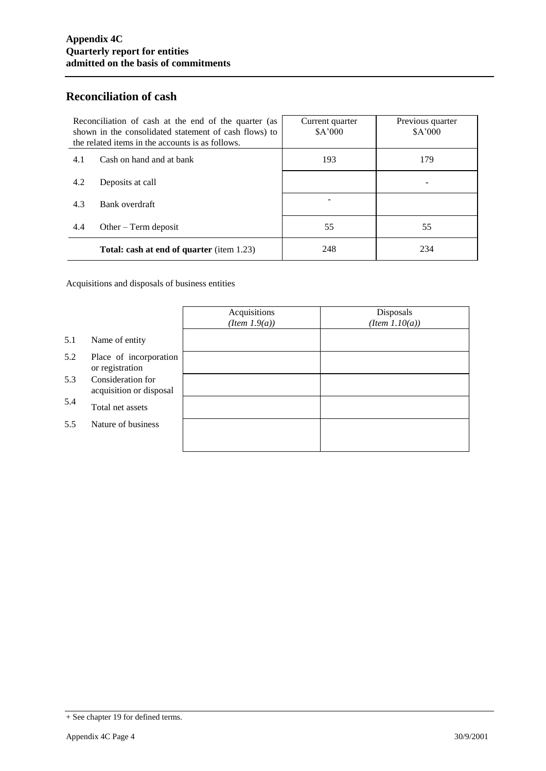### **Reconciliation of cash**

| Reconciliation of cash at the end of the quarter (as<br>shown in the consolidated statement of cash flows) to<br>the related items in the accounts is as follows. |                                                  | Current quarter<br>\$A'000 | Previous quarter<br>\$A'000 |
|-------------------------------------------------------------------------------------------------------------------------------------------------------------------|--------------------------------------------------|----------------------------|-----------------------------|
| 4.1                                                                                                                                                               | Cash on hand and at bank                         | 193                        | 179                         |
| 4.2                                                                                                                                                               | Deposits at call                                 |                            |                             |
| 4.3                                                                                                                                                               | Bank overdraft                                   |                            |                             |
| 4.4                                                                                                                                                               | Other $-$ Term deposit                           | 55                         | 55                          |
|                                                                                                                                                                   | <b>Total: cash at end of quarter</b> (item 1.23) | 248                        | 234                         |

Acquisitions and disposals of business entities

|     |                                              | Acquisitions<br>$(Item\ 1.9(a))$ | Disposals<br>$(Item\ 1.10(a))$ |
|-----|----------------------------------------------|----------------------------------|--------------------------------|
| 5.1 | Name of entity                               |                                  |                                |
| 5.2 | Place of incorporation<br>or registration    |                                  |                                |
| 5.3 | Consideration for<br>acquisition or disposal |                                  |                                |
| 5.4 | Total net assets                             |                                  |                                |
| 5.5 | Nature of business                           |                                  |                                |
|     |                                              |                                  |                                |

<sup>+</sup> See chapter 19 for defined terms.